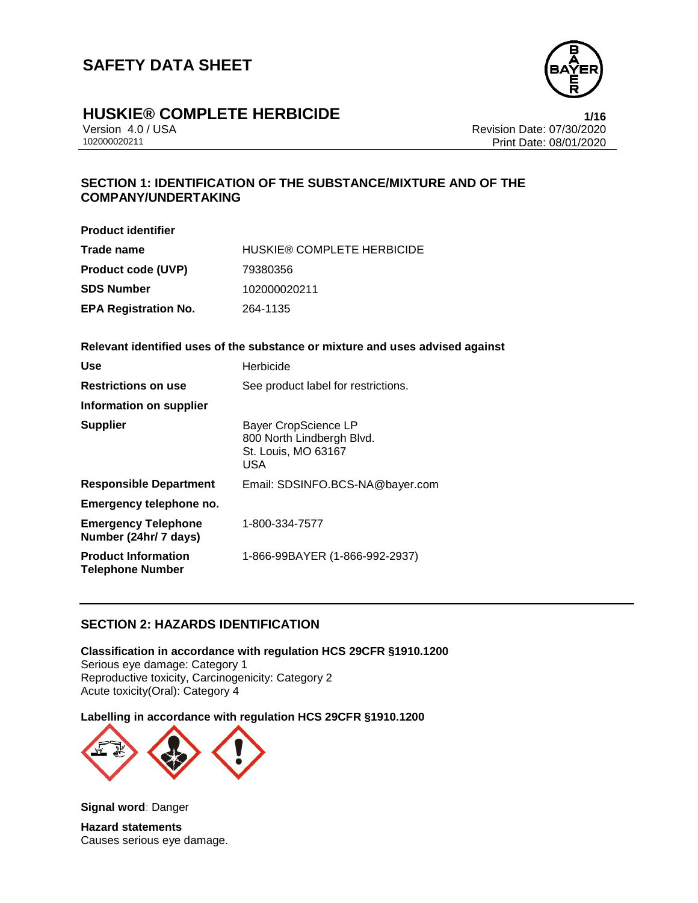

# **HUSKIE® COMPLETE HERBICIDE**<br>Version 4.0 / USA **1/16**<br>Revision Date: 07/30/2020

Version 4.0 / USA Revision Date: 07/30/2020 Print Date: 08/01/2020

## **SECTION 1: IDENTIFICATION OF THE SUBSTANCE/MIXTURE AND OF THE COMPANY/UNDERTAKING**

| <b>Product identifier</b>   |                                   |
|-----------------------------|-----------------------------------|
| Trade name                  | <b>HUSKIE® COMPLETE HERBICIDE</b> |
| <b>Product code (UVP)</b>   | 79380356                          |
| <b>SDS Number</b>           | 102000020211                      |
| <b>EPA Registration No.</b> | 264-1135                          |

### **Relevant identified uses of the substance or mixture and uses advised against**

| Use                                                   | Herbicide                                                                              |
|-------------------------------------------------------|----------------------------------------------------------------------------------------|
| <b>Restrictions on use</b>                            | See product label for restrictions.                                                    |
| Information on supplier                               |                                                                                        |
| <b>Supplier</b>                                       | <b>Bayer CropScience LP</b><br>800 North Lindbergh Blvd.<br>St. Louis, MO 63167<br>USA |
| <b>Responsible Department</b>                         | Email: SDSINFO.BCS-NA@bayer.com                                                        |
| Emergency telephone no.                               |                                                                                        |
| <b>Emergency Telephone</b><br>Number (24hr/ 7 days)   | 1-800-334-7577                                                                         |
| <b>Product Information</b><br><b>Telephone Number</b> | 1-866-99BAYER (1-866-992-2937)                                                         |

### **SECTION 2: HAZARDS IDENTIFICATION**

**Classification in accordance with regulation HCS 29CFR §1910.1200** Serious eye damage: Category 1 Reproductive toxicity, Carcinogenicity: Category 2 Acute toxicity(Oral): Category 4

**Labelling in accordance with regulation HCS 29CFR §1910.1200**



**Signal word**: Danger **Hazard statements** Causes serious eye damage.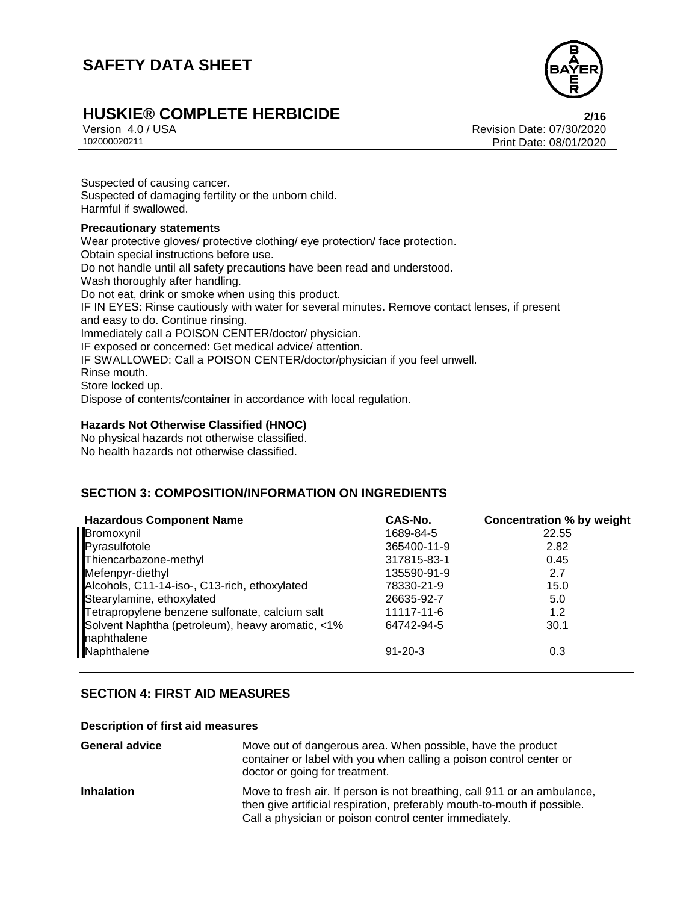

# **HUSKIE® COMPLETE HERBICIDE**<br>Version 4.0/USA **Properties and AUSA** Revision Date: 07/30/2020

Version 4.0 / USA Revision Date: 07/30/2020 Print Date: 08/01/2020

Suspected of causing cancer. Suspected of damaging fertility or the unborn child. Harmful if swallowed.

#### **Precautionary statements**

Wear protective gloves/ protective clothing/ eye protection/ face protection. Obtain special instructions before use. Do not handle until all safety precautions have been read and understood. Wash thoroughly after handling. Do not eat, drink or smoke when using this product. IF IN EYES: Rinse cautiously with water for several minutes. Remove contact lenses, if present and easy to do. Continue rinsing. Immediately call a POISON CENTER/doctor/ physician. IF exposed or concerned: Get medical advice/ attention. IF SWALLOWED: Call a POISON CENTER/doctor/physician if you feel unwell. Rinse mouth. Store locked up. Dispose of contents/container in accordance with local regulation.

### **Hazards Not Otherwise Classified (HNOC)**

No physical hazards not otherwise classified. No health hazards not otherwise classified.

### **SECTION 3: COMPOSITION/INFORMATION ON INGREDIENTS**

| <b>Hazardous Component Name</b>                                 | CAS-No.       | <b>Concentration % by weight</b> |
|-----------------------------------------------------------------|---------------|----------------------------------|
| Bromoxynil                                                      | 1689-84-5     | 22.55                            |
| Pyrasulfotole                                                   | 365400-11-9   | 2.82                             |
| Thiencarbazone-methyl                                           | 317815-83-1   | 0.45                             |
| Mefenpyr-diethyl                                                | 135590-91-9   | 2.7                              |
| Alcohols, C11-14-iso-, C13-rich, ethoxylated                    | 78330-21-9    | 15.0                             |
| Stearylamine, ethoxylated                                       | 26635-92-7    | 5.0                              |
| Tetrapropylene benzene sulfonate, calcium salt                  | 11117-11-6    | 1.2                              |
| Solvent Naphtha (petroleum), heavy aromatic, <1%<br>naphthalene | 64742-94-5    | 30.1                             |
| Naphthalene                                                     | $91 - 20 - 3$ | 0.3                              |

### **SECTION 4: FIRST AID MEASURES**

#### **Description of first aid measures**

| <b>General advice</b> | Move out of dangerous area. When possible, have the product<br>container or label with you when calling a poison control center or<br>doctor or going for treatment.                                           |
|-----------------------|----------------------------------------------------------------------------------------------------------------------------------------------------------------------------------------------------------------|
| <b>Inhalation</b>     | Move to fresh air. If person is not breathing, call 911 or an ambulance,<br>then give artificial respiration, preferably mouth-to-mouth if possible.<br>Call a physician or poison control center immediately. |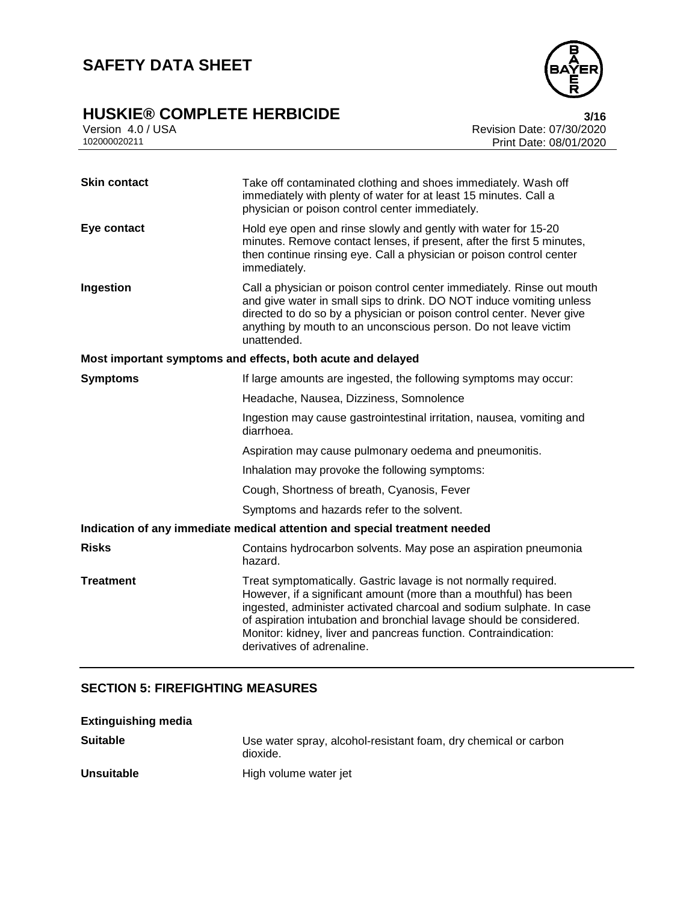# **HUSKIE® COMPLETE HERBICIDE**<br>Version 4.0 / USA **bigger and the COMPLETE HERBICIDE**<br>Revision Date: 07/30/2020



Version 4.0 / USA **Revision Date: 07/30/2020**<br>102000020211 Print Date: 08/01/2020 Print Date: 08/01/2020

| <b>Skin contact</b> | Take off contaminated clothing and shoes immediately. Wash off<br>immediately with plenty of water for at least 15 minutes. Call a<br>physician or poison control center immediately.                                                                                                                                                                                               |  |  |
|---------------------|-------------------------------------------------------------------------------------------------------------------------------------------------------------------------------------------------------------------------------------------------------------------------------------------------------------------------------------------------------------------------------------|--|--|
| Eye contact         | Hold eye open and rinse slowly and gently with water for 15-20<br>minutes. Remove contact lenses, if present, after the first 5 minutes,<br>then continue rinsing eye. Call a physician or poison control center<br>immediately.                                                                                                                                                    |  |  |
| Ingestion           | Call a physician or poison control center immediately. Rinse out mouth<br>and give water in small sips to drink. DO NOT induce vomiting unless<br>directed to do so by a physician or poison control center. Never give<br>anything by mouth to an unconscious person. Do not leave victim<br>unattended.                                                                           |  |  |
|                     | Most important symptoms and effects, both acute and delayed                                                                                                                                                                                                                                                                                                                         |  |  |
| <b>Symptoms</b>     | If large amounts are ingested, the following symptoms may occur:                                                                                                                                                                                                                                                                                                                    |  |  |
|                     | Headache, Nausea, Dizziness, Somnolence                                                                                                                                                                                                                                                                                                                                             |  |  |
|                     | Ingestion may cause gastrointestinal irritation, nausea, vomiting and<br>diarrhoea.                                                                                                                                                                                                                                                                                                 |  |  |
|                     | Aspiration may cause pulmonary oedema and pneumonitis.                                                                                                                                                                                                                                                                                                                              |  |  |
|                     | Inhalation may provoke the following symptoms:                                                                                                                                                                                                                                                                                                                                      |  |  |
|                     | Cough, Shortness of breath, Cyanosis, Fever                                                                                                                                                                                                                                                                                                                                         |  |  |
|                     | Symptoms and hazards refer to the solvent.                                                                                                                                                                                                                                                                                                                                          |  |  |
|                     | Indication of any immediate medical attention and special treatment needed                                                                                                                                                                                                                                                                                                          |  |  |
| <b>Risks</b>        | Contains hydrocarbon solvents. May pose an aspiration pneumonia<br>hazard.                                                                                                                                                                                                                                                                                                          |  |  |
| <b>Treatment</b>    | Treat symptomatically. Gastric lavage is not normally required.<br>However, if a significant amount (more than a mouthful) has been<br>ingested, administer activated charcoal and sodium sulphate. In case<br>of aspiration intubation and bronchial lavage should be considered.<br>Monitor: kidney, liver and pancreas function. Contraindication:<br>derivatives of adrenaline. |  |  |

### **SECTION 5: FIREFIGHTING MEASURES**

| <b>Extinguishing media</b> |                                                                             |
|----------------------------|-----------------------------------------------------------------------------|
| <b>Suitable</b>            | Use water spray, alcohol-resistant foam, dry chemical or carbon<br>dioxide. |
| <b>Unsuitable</b>          | High volume water jet                                                       |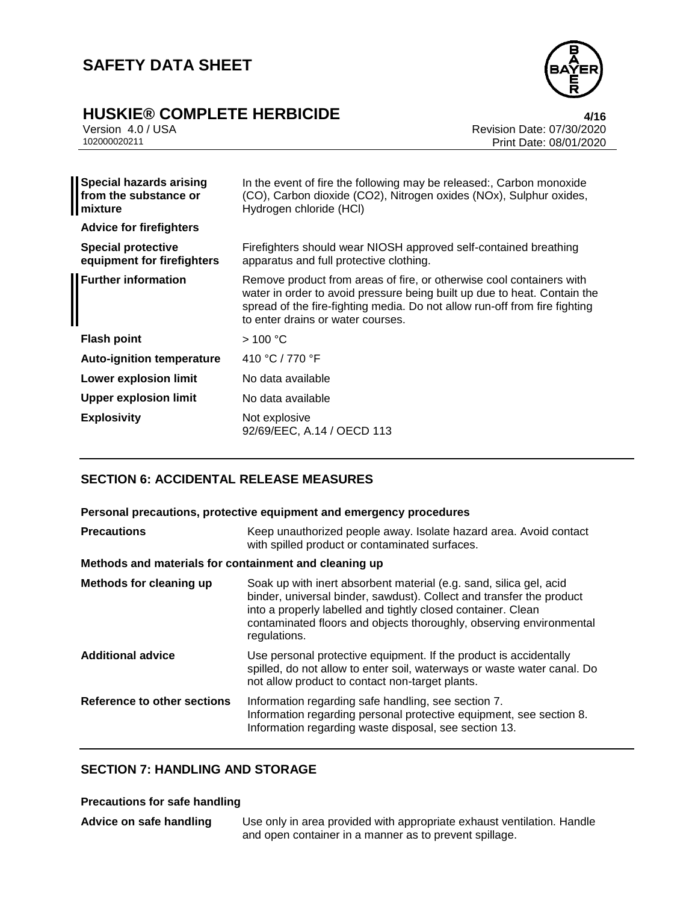

# **HUSKIE® COMPLETE HERBICIDE 4/16**

| Version 4.0 / USA |  |
|-------------------|--|
| 102000020211      |  |

Version 4.0 / USA Revision Date: 07/30/2020 Print Date: 08/01/2020

| <b>Special hazards arising</b><br>from the substance or<br>  mixture | In the event of fire the following may be released:, Carbon monoxide<br>(CO), Carbon dioxide (CO2), Nitrogen oxides (NOx), Sulphur oxides,<br>Hydrogen chloride (HCI)                                                                                               |  |
|----------------------------------------------------------------------|---------------------------------------------------------------------------------------------------------------------------------------------------------------------------------------------------------------------------------------------------------------------|--|
| <b>Advice for firefighters</b>                                       |                                                                                                                                                                                                                                                                     |  |
| <b>Special protective</b><br>equipment for firefighters              | Firefighters should wear NIOSH approved self-contained breathing<br>apparatus and full protective clothing.                                                                                                                                                         |  |
| <b>Further information</b>                                           | Remove product from areas of fire, or otherwise cool containers with<br>water in order to avoid pressure being built up due to heat. Contain the<br>spread of the fire-fighting media. Do not allow run-off from fire fighting<br>to enter drains or water courses. |  |
| <b>Flash point</b>                                                   | >100 °C                                                                                                                                                                                                                                                             |  |
| <b>Auto-ignition temperature</b>                                     | 410 °C / 770 °F                                                                                                                                                                                                                                                     |  |
| Lower explosion limit                                                | No data available                                                                                                                                                                                                                                                   |  |
| <b>Upper explosion limit</b>                                         | No data available                                                                                                                                                                                                                                                   |  |
| <b>Explosivity</b>                                                   | Not explosive<br>92/69/EEC, A.14 / OECD 113                                                                                                                                                                                                                         |  |

### **SECTION 6: ACCIDENTAL RELEASE MEASURES**

### **Personal precautions, protective equipment and emergency procedures**

| <b>Precautions</b>                                    | Keep unauthorized people away. Isolate hazard area. Avoid contact<br>with spilled product or contaminated surfaces.                                                                                                                                                                               |  |  |
|-------------------------------------------------------|---------------------------------------------------------------------------------------------------------------------------------------------------------------------------------------------------------------------------------------------------------------------------------------------------|--|--|
| Methods and materials for containment and cleaning up |                                                                                                                                                                                                                                                                                                   |  |  |
| Methods for cleaning up                               | Soak up with inert absorbent material (e.g. sand, silica gel, acid<br>binder, universal binder, sawdust). Collect and transfer the product<br>into a properly labelled and tightly closed container. Clean<br>contaminated floors and objects thoroughly, observing environmental<br>regulations. |  |  |
| <b>Additional advice</b>                              | Use personal protective equipment. If the product is accidentally<br>spilled, do not allow to enter soil, waterways or waste water canal. Do<br>not allow product to contact non-target plants.                                                                                                   |  |  |
| Reference to other sections                           | Information regarding safe handling, see section 7.<br>Information regarding personal protective equipment, see section 8.<br>Information regarding waste disposal, see section 13.                                                                                                               |  |  |

## **SECTION 7: HANDLING AND STORAGE**

### **Precautions for safe handling**

**Advice on safe handling** Use only in area provided with appropriate exhaust ventilation. Handle and open container in a manner as to prevent spillage.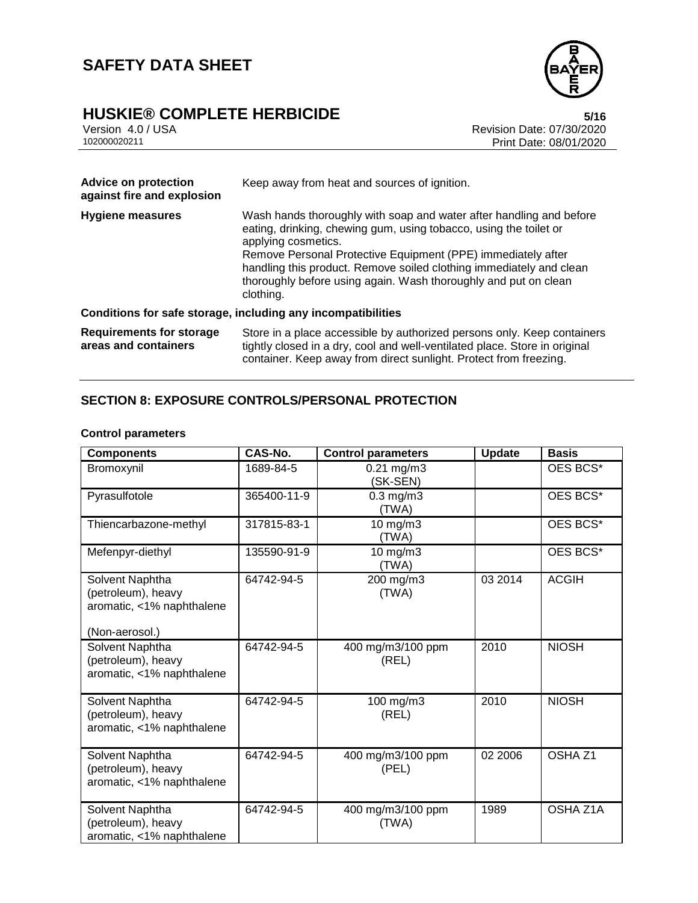

# **HUSKIE® COMPLETE HERBICIDE**<br>Version 4.0 / USA **bigger and the COMPLETE HERBICIDE**<br>Revision Date: 07/30/2020

Version 4.0 / USA **Revision Date: 07/30/2020**<br>102000020211 Print Date: 08/01/2020 Print Date: 08/01/2020

| <b>Advice on protection</b><br>against fire and explosion | Keep away from heat and sources of ignition.                                                                                                                                                                                                                                                                                                                                           |  |  |
|-----------------------------------------------------------|----------------------------------------------------------------------------------------------------------------------------------------------------------------------------------------------------------------------------------------------------------------------------------------------------------------------------------------------------------------------------------------|--|--|
| Hygiene measures                                          | Wash hands thoroughly with soap and water after handling and before<br>eating, drinking, chewing gum, using tobacco, using the toilet or<br>applying cosmetics.<br>Remove Personal Protective Equipment (PPE) immediately after<br>handling this product. Remove soiled clothing immediately and clean<br>thoroughly before using again. Wash thoroughly and put on clean<br>clothing. |  |  |
|                                                           | Conditions for safe storage, including any incompatibilities                                                                                                                                                                                                                                                                                                                           |  |  |
| <b>Requirements for storage</b><br>areas and containers   | Store in a place accessible by authorized persons only. Keep containers<br>tightly closed in a dry, cool and well-ventilated place. Store in original<br>container. Keep away from direct sunlight. Protect from freezing.                                                                                                                                                             |  |  |

## **SECTION 8: EXPOSURE CONTROLS/PERSONAL PROTECTION**

### **Control parameters**

| <b>Components</b>                                                                    | CAS-No.     | <b>Control parameters</b>  | <b>Update</b> | <b>Basis</b>       |
|--------------------------------------------------------------------------------------|-------------|----------------------------|---------------|--------------------|
| Bromoxynil                                                                           | 1689-84-5   | $0.21$ mg/m3<br>(SK-SEN)   |               | OES BCS*           |
| Pyrasulfotole                                                                        | 365400-11-9 | $0.3$ mg/m $3$<br>(TWA)    |               | OES BCS*           |
| Thiencarbazone-methyl                                                                | 317815-83-1 | 10 mg/m3<br>(TWA)          |               | OES BCS*           |
| Mefenpyr-diethyl                                                                     | 135590-91-9 | 10 mg/m3<br>(TWA)          |               | OES BCS*           |
| Solvent Naphtha<br>(petroleum), heavy<br>aromatic, <1% naphthalene<br>(Non-aerosol.) | 64742-94-5  | 200 mg/m3<br>(TWA)         | 03 2014       | <b>ACGIH</b>       |
| Solvent Naphtha<br>(petroleum), heavy<br>aromatic, <1% naphthalene                   | 64742-94-5  | 400 mg/m3/100 ppm<br>(REL) | 2010          | <b>NIOSH</b>       |
| Solvent Naphtha<br>(petroleum), heavy<br>aromatic, <1% naphthalene                   | 64742-94-5  | 100 mg/m3<br>(REL)         | 2010          | <b>NIOSH</b>       |
| Solvent Naphtha<br>(petroleum), heavy<br>aromatic, <1% naphthalene                   | 64742-94-5  | 400 mg/m3/100 ppm<br>(PEL) | 02 2006       | OSHA <sub>Z1</sub> |
| Solvent Naphtha<br>(petroleum), heavy<br>aromatic, <1% naphthalene                   | 64742-94-5  | 400 mg/m3/100 ppm<br>(TWA) | 1989          | OSHA Z1A           |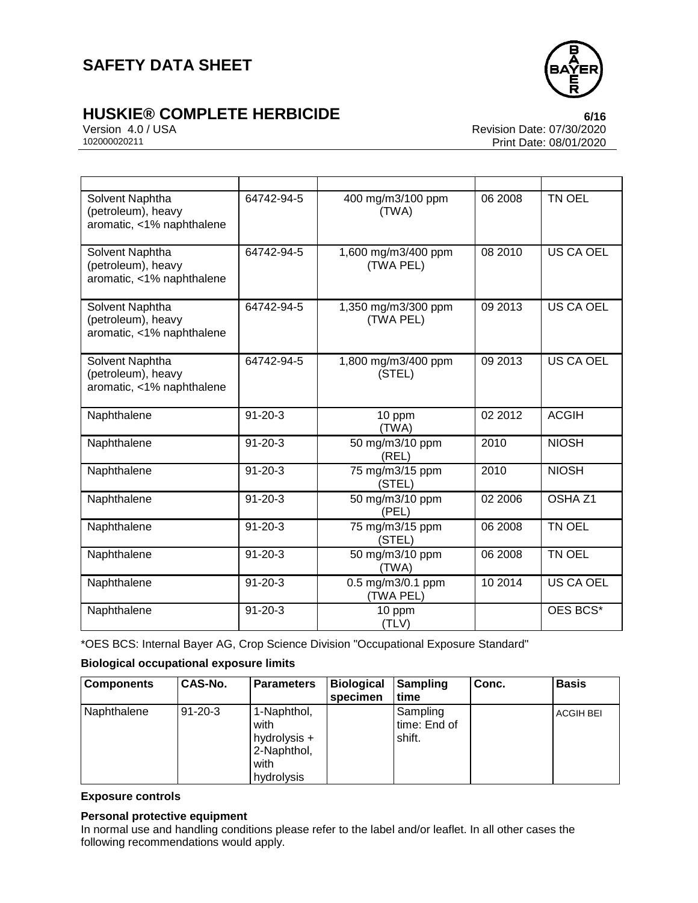

# **HUSKIE® COMPLETE HERBICIDE**<br>Version 4.0 / USA **bluessing** 4.0 / USA

Version 4.0 / USA Revision Date: 07/30/2020<br>102000020211 Print Date: 08/01/2020 Print Date: 08/01/2020

| Solvent Naphtha<br>(petroleum), heavy<br>aromatic, <1% naphthalene | 64742-94-5    | 400 mg/m3/100 ppm<br>(TWA)       | 06 2008 | TN OEL             |
|--------------------------------------------------------------------|---------------|----------------------------------|---------|--------------------|
| Solvent Naphtha<br>(petroleum), heavy<br>aromatic, <1% naphthalene | 64742-94-5    | 1,600 mg/m3/400 ppm<br>(TWA PEL) | 08 2010 | <b>US CA OEL</b>   |
| Solvent Naphtha<br>(petroleum), heavy<br>aromatic, <1% naphthalene | 64742-94-5    | 1,350 mg/m3/300 ppm<br>(TWA PEL) | 09 2013 | <b>US CA OEL</b>   |
| Solvent Naphtha<br>(petroleum), heavy<br>aromatic, <1% naphthalene | 64742-94-5    | 1,800 mg/m3/400 ppm<br>(STEL)    | 09 2013 | <b>US CA OEL</b>   |
| Naphthalene                                                        | $91 - 20 - 3$ | 10 ppm<br>(TWA)                  | 02 2012 | <b>ACGIH</b>       |
| Naphthalene                                                        | $91 - 20 - 3$ | 50 mg/m3/10 ppm<br>(REL)         | 2010    | <b>NIOSH</b>       |
| Naphthalene                                                        | $91 - 20 - 3$ | 75 mg/m3/15 ppm<br>(STEL)        | 2010    | <b>NIOSH</b>       |
| Naphthalene                                                        | $91 - 20 - 3$ | 50 mg/m3/10 ppm<br>(PEL)         | 02 2006 | OSHA <sub>Z1</sub> |
| Naphthalene                                                        | $91 - 20 - 3$ | 75 mg/m3/15 ppm<br>(STEL)        | 06 2008 | TN OEL             |
| Naphthalene                                                        | $91 - 20 - 3$ | 50 mg/m3/10 ppm<br>(TWA)         | 06 2008 | TN OEL             |
| Naphthalene                                                        | $91 - 20 - 3$ | 0.5 mg/m3/0.1 ppm<br>(TWA PEL)   | 10 2014 | <b>US CA OEL</b>   |
| Naphthalene                                                        | $91 - 20 - 3$ | 10 ppm<br>(TLV)                  |         | OES BCS*           |

\*OES BCS: Internal Bayer AG, Crop Science Division "Occupational Exposure Standard"

### **Biological occupational exposure limits**

| <b>Components</b> | <b>CAS-No.</b> | <b>Parameters</b>                                                        | <b>Biological</b><br>specimen | Sampling<br>ltime                  | Conc. | <b>Basis</b>     |
|-------------------|----------------|--------------------------------------------------------------------------|-------------------------------|------------------------------------|-------|------------------|
| Naphthalene       | 91-20-3        | 1-Naphthol,<br>with<br>hydrolysis +<br>2-Naphthol,<br>with<br>hydrolysis |                               | Sampling<br>time: End of<br>shift. |       | <b>ACGIH BEI</b> |

### **Exposure controls**

### **Personal protective equipment**

In normal use and handling conditions please refer to the label and/or leaflet. In all other cases the following recommendations would apply.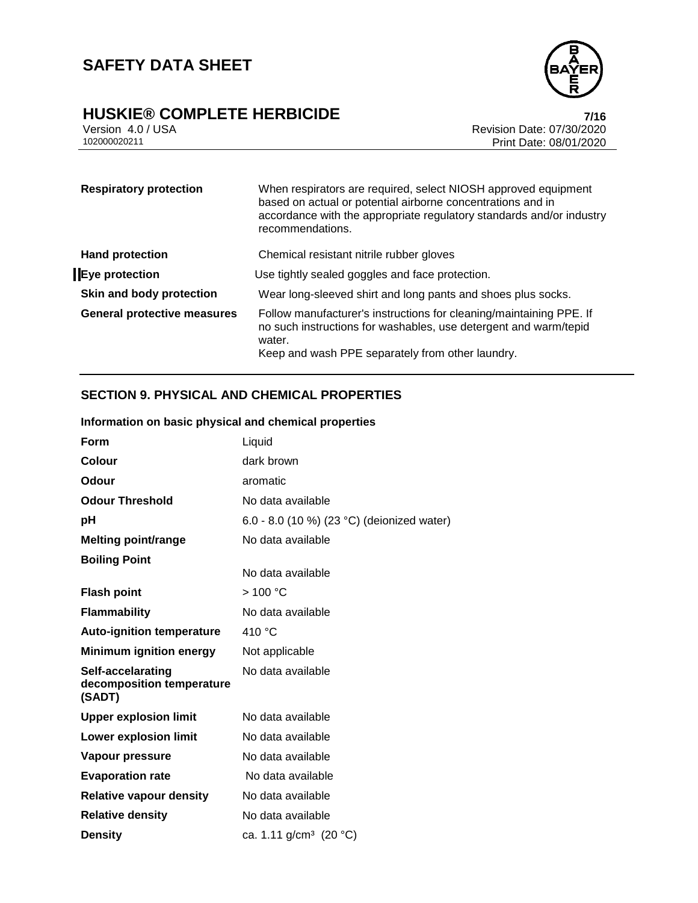

# **HUSKIE® COMPLETE HERBICIDE**<br>
Version 4.0 / USA **Presion 4.0** / USA **Revision Date: 07/30/2020**

Version 4.0 / USA **Revision Date: 07/30/2020**<br>102000020211 Print Date: 08/01/2020 Print Date: 08/01/2020

| <b>Respiratory protection</b>      | When respirators are required, select NIOSH approved equipment<br>based on actual or potential airborne concentrations and in<br>accordance with the appropriate regulatory standards and/or industry<br>recommendations. |
|------------------------------------|---------------------------------------------------------------------------------------------------------------------------------------------------------------------------------------------------------------------------|
| <b>Hand protection</b>             | Chemical resistant nitrile rubber gloves                                                                                                                                                                                  |
| Eye protection                     | Use tightly sealed goggles and face protection.                                                                                                                                                                           |
| Skin and body protection           | Wear long-sleeved shirt and long pants and shoes plus socks.                                                                                                                                                              |
| <b>General protective measures</b> | Follow manufacturer's instructions for cleaning/maintaining PPE. If<br>no such instructions for washables, use detergent and warm/tepid<br>water.<br>Keep and wash PPE separately from other laundry.                     |

## **SECTION 9. PHYSICAL AND CHEMICAL PROPERTIES**

## **Information on basic physical and chemical properties**

| <b>Form</b>                                              | Liquid                                     |
|----------------------------------------------------------|--------------------------------------------|
| <b>Colour</b>                                            | dark brown                                 |
| Odour                                                    | aromatic                                   |
| <b>Odour Threshold</b>                                   | No data available                          |
| pH                                                       | 6.0 - 8.0 (10 %) (23 °C) (deionized water) |
| <b>Melting point/range</b>                               | No data available                          |
| <b>Boiling Point</b>                                     | No data available                          |
| <b>Flash point</b>                                       | >100 °C                                    |
| <b>Flammability</b>                                      | No data available                          |
| <b>Auto-ignition temperature</b>                         | 410 °C                                     |
| <b>Minimum ignition energy</b>                           | Not applicable                             |
| Self-accelarating<br>decomposition temperature<br>(SADT) | No data available                          |
| <b>Upper explosion limit</b>                             | No data available                          |
| <b>Lower explosion limit</b>                             | No data available                          |
| Vapour pressure                                          | No data available                          |
| <b>Evaporation rate</b>                                  | No data available                          |
| <b>Relative vapour density</b>                           | No data available                          |
| <b>Relative density</b>                                  | No data available                          |
| <b>Density</b>                                           | ca. 1.11 g/cm <sup>3</sup> (20 °C)         |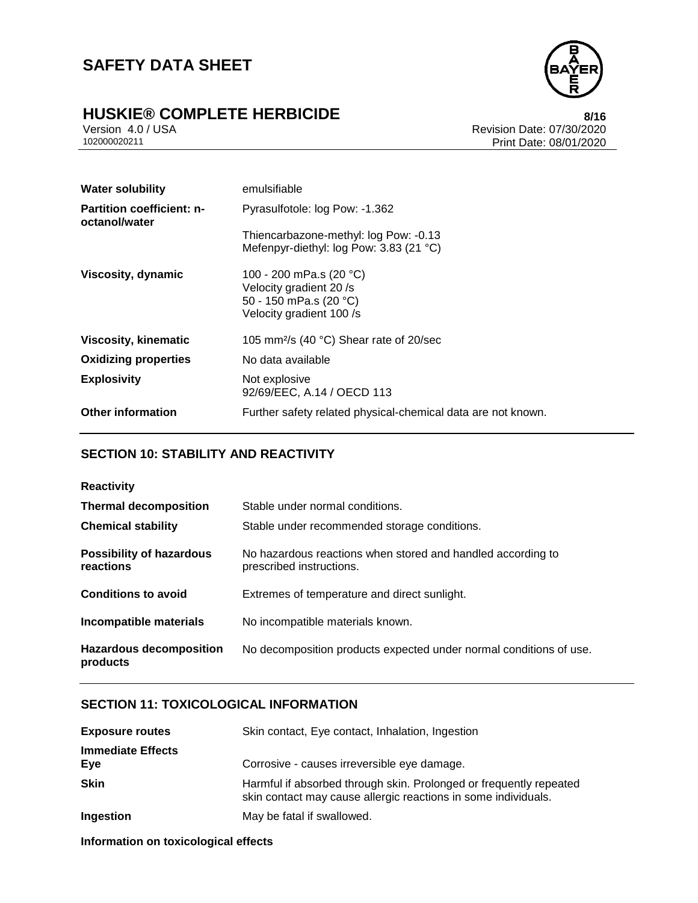# **HUSKIE® COMPLETE HERBICIDE**<br>Version 4.0 / USA **bigger and the COMPLETE HERBICIDE**<br>Revision Date: 07/30/2020



Version 4.0 / USA Revision Date: 07/30/2020<br>102000020211 Print Date: 08/01/2020 Print Date: 08/01/2020

| <b>Water solubility</b>                           | emulsifiable                                                                                             |
|---------------------------------------------------|----------------------------------------------------------------------------------------------------------|
| <b>Partition coefficient: n-</b><br>octanol/water | Pyrasulfotole: log Pow: -1.362                                                                           |
|                                                   | Thiencarbazone-methyl: log Pow: -0.13                                                                    |
|                                                   | Mefenpyr-diethyl: log Pow: 3.83 (21 °C)                                                                  |
| Viscosity, dynamic                                | 100 - 200 mPa.s (20 °C)<br>Velocity gradient 20 /s<br>50 - 150 mPa.s (20 °C)<br>Velocity gradient 100 /s |
| <b>Viscosity, kinematic</b>                       | 105 mm <sup>2</sup> /s (40 $^{\circ}$ C) Shear rate of 20/sec                                            |
| <b>Oxidizing properties</b>                       | No data available                                                                                        |
| <b>Explosivity</b>                                | Not explosive<br>92/69/EEC, A.14 / OECD 113                                                              |
| <b>Other information</b>                          | Further safety related physical-chemical data are not known.                                             |

## **SECTION 10: STABILITY AND REACTIVITY**

| <b>Reactivity</b>                            |                                                                                         |
|----------------------------------------------|-----------------------------------------------------------------------------------------|
| <b>Thermal decomposition</b>                 | Stable under normal conditions.                                                         |
| <b>Chemical stability</b>                    | Stable under recommended storage conditions.                                            |
| <b>Possibility of hazardous</b><br>reactions | No hazardous reactions when stored and handled according to<br>prescribed instructions. |
| <b>Conditions to avoid</b>                   | Extremes of temperature and direct sunlight.                                            |
| Incompatible materials                       | No incompatible materials known.                                                        |
| <b>Hazardous decomposition</b><br>products   | No decomposition products expected under normal conditions of use.                      |

## **SECTION 11: TOXICOLOGICAL INFORMATION**

| <b>Exposure routes</b>          | Skin contact, Eye contact, Inhalation, Ingestion                                                                                     |
|---------------------------------|--------------------------------------------------------------------------------------------------------------------------------------|
| <b>Immediate Effects</b><br>Eve | Corrosive - causes irreversible eye damage.                                                                                          |
| <b>Skin</b>                     | Harmful if absorbed through skin. Prolonged or frequently repeated<br>skin contact may cause allergic reactions in some individuals. |
| Ingestion                       | May be fatal if swallowed.                                                                                                           |

**Information on toxicological effects**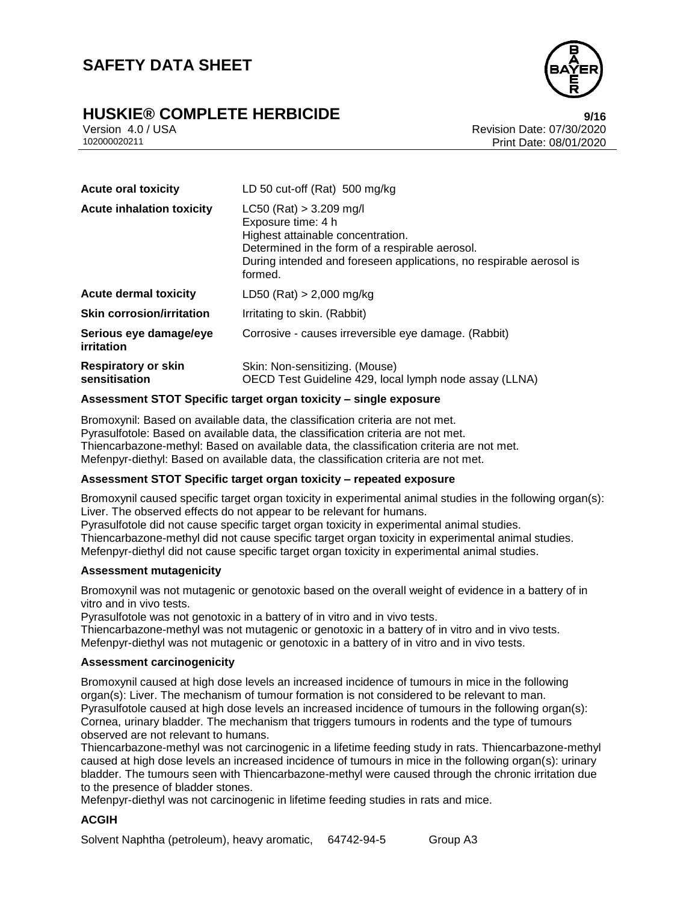# **HUSKIE® COMPLETE HERBICIDE**<br>Version 4.0/USA **Presion 4.0/USA**



Version 4.0 / USA Revision Date: 07/30/2020<br>102000020211 Print Date: 08/01/2020 Print Date: 08/01/2020

| <b>Acute oral toxicity</b>                  | LD 50 cut-off (Rat) 500 mg/kg                                                                                                                                                                                             |
|---------------------------------------------|---------------------------------------------------------------------------------------------------------------------------------------------------------------------------------------------------------------------------|
| <b>Acute inhalation toxicity</b>            | $LC50$ (Rat) > 3.209 mg/l<br>Exposure time: 4 h<br>Highest attainable concentration.<br>Determined in the form of a respirable aerosol.<br>During intended and foreseen applications, no respirable aerosol is<br>formed. |
| <b>Acute dermal toxicity</b>                | LD50 (Rat) $> 2,000$ mg/kg                                                                                                                                                                                                |
| <b>Skin corrosion/irritation</b>            | Irritating to skin. (Rabbit)                                                                                                                                                                                              |
| Serious eye damage/eye<br>irritation        | Corrosive - causes irreversible eye damage. (Rabbit)                                                                                                                                                                      |
| <b>Respiratory or skin</b><br>sensitisation | Skin: Non-sensitizing. (Mouse)<br>OECD Test Guideline 429, local lymph node assay (LLNA)                                                                                                                                  |

#### **Assessment STOT Specific target organ toxicity – single exposure**

Bromoxynil: Based on available data, the classification criteria are not met. Pyrasulfotole: Based on available data, the classification criteria are not met. Thiencarbazone-methyl: Based on available data, the classification criteria are not met. Mefenpyr-diethyl: Based on available data, the classification criteria are not met.

#### **Assessment STOT Specific target organ toxicity – repeated exposure**

Bromoxynil caused specific target organ toxicity in experimental animal studies in the following organ(s): Liver. The observed effects do not appear to be relevant for humans.

Pyrasulfotole did not cause specific target organ toxicity in experimental animal studies.

Thiencarbazone-methyl did not cause specific target organ toxicity in experimental animal studies. Mefenpyr-diethyl did not cause specific target organ toxicity in experimental animal studies.

#### **Assessment mutagenicity**

Bromoxynil was not mutagenic or genotoxic based on the overall weight of evidence in a battery of in vitro and in vivo tests.

Pyrasulfotole was not genotoxic in a battery of in vitro and in vivo tests.

Thiencarbazone-methyl was not mutagenic or genotoxic in a battery of in vitro and in vivo tests. Mefenpyr-diethyl was not mutagenic or genotoxic in a battery of in vitro and in vivo tests.

#### **Assessment carcinogenicity**

Bromoxynil caused at high dose levels an increased incidence of tumours in mice in the following organ(s): Liver. The mechanism of tumour formation is not considered to be relevant to man. Pyrasulfotole caused at high dose levels an increased incidence of tumours in the following organ(s): Cornea, urinary bladder. The mechanism that triggers tumours in rodents and the type of tumours observed are not relevant to humans.

Thiencarbazone-methyl was not carcinogenic in a lifetime feeding study in rats. Thiencarbazone-methyl caused at high dose levels an increased incidence of tumours in mice in the following organ(s): urinary bladder. The tumours seen with Thiencarbazone-methyl were caused through the chronic irritation due to the presence of bladder stones.

Mefenpyr-diethyl was not carcinogenic in lifetime feeding studies in rats and mice.

#### **ACGIH**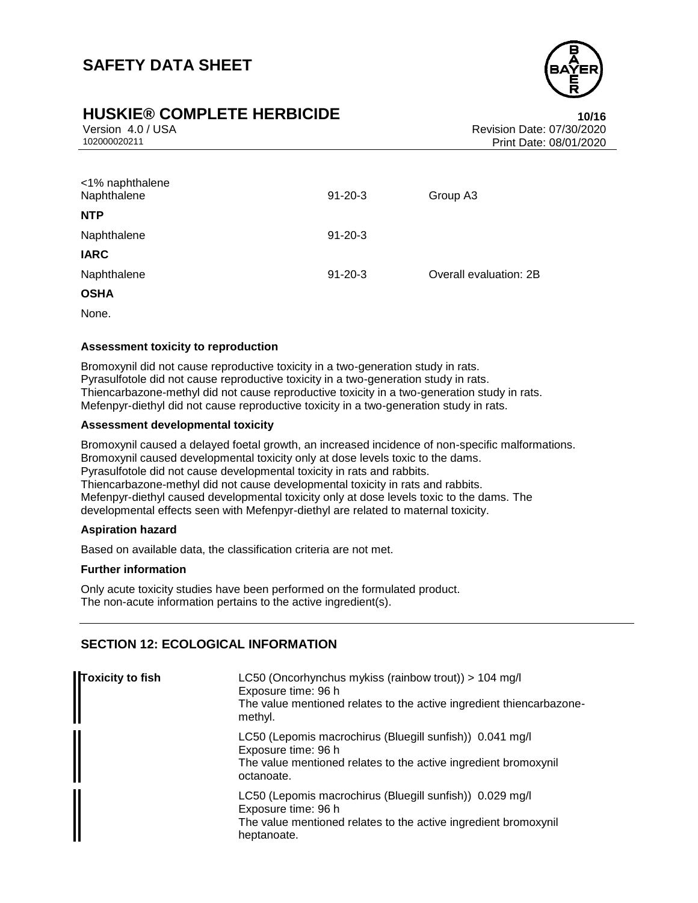

## **HUSKIE® COMPLETE HERBICIDE 10/16**

Version 4.0 / USA Revision Date: 07/30/2020<br>102000020211 Print Date: 08/01/2020 Print Date: 08/01/2020

| <1% naphthalene<br>Naphthalene | $91 - 20 - 3$ | Group A3               |
|--------------------------------|---------------|------------------------|
| <b>NTP</b>                     |               |                        |
| Naphthalene                    | $91 - 20 - 3$ |                        |
| <b>IARC</b>                    |               |                        |
| Naphthalene                    | $91 - 20 - 3$ | Overall evaluation: 2B |
| <b>OSHA</b>                    |               |                        |
|                                |               |                        |

None.

#### **Assessment toxicity to reproduction**

Bromoxynil did not cause reproductive toxicity in a two-generation study in rats. Pyrasulfotole did not cause reproductive toxicity in a two-generation study in rats. Thiencarbazone-methyl did not cause reproductive toxicity in a two-generation study in rats. Mefenpyr-diethyl did not cause reproductive toxicity in a two-generation study in rats.

#### **Assessment developmental toxicity**

Bromoxynil caused a delayed foetal growth, an increased incidence of non-specific malformations. Bromoxynil caused developmental toxicity only at dose levels toxic to the dams. Pyrasulfotole did not cause developmental toxicity in rats and rabbits. Thiencarbazone-methyl did not cause developmental toxicity in rats and rabbits. Mefenpyr-diethyl caused developmental toxicity only at dose levels toxic to the dams. The developmental effects seen with Mefenpyr-diethyl are related to maternal toxicity.

### **Aspiration hazard**

Based on available data, the classification criteria are not met.

#### **Further information**

Only acute toxicity studies have been performed on the formulated product. The non-acute information pertains to the active ingredient(s).

### **SECTION 12: ECOLOGICAL INFORMATION**

| Toxicity to fish | LC50 (Oncorhynchus mykiss (rainbow trout)) > 104 mg/l<br>Exposure time: 96 h<br>The value mentioned relates to the active ingredient thiencarbazone-<br>methyl.   |
|------------------|-------------------------------------------------------------------------------------------------------------------------------------------------------------------|
|                  | LC50 (Lepomis macrochirus (Bluegill sunfish)) 0.041 mg/l<br>Exposure time: 96 h<br>The value mentioned relates to the active ingredient bromoxynil<br>octanoate.  |
|                  | LC50 (Lepomis macrochirus (Bluegill sunfish)) 0.029 mg/l<br>Exposure time: 96 h<br>The value mentioned relates to the active ingredient bromoxynil<br>heptanoate. |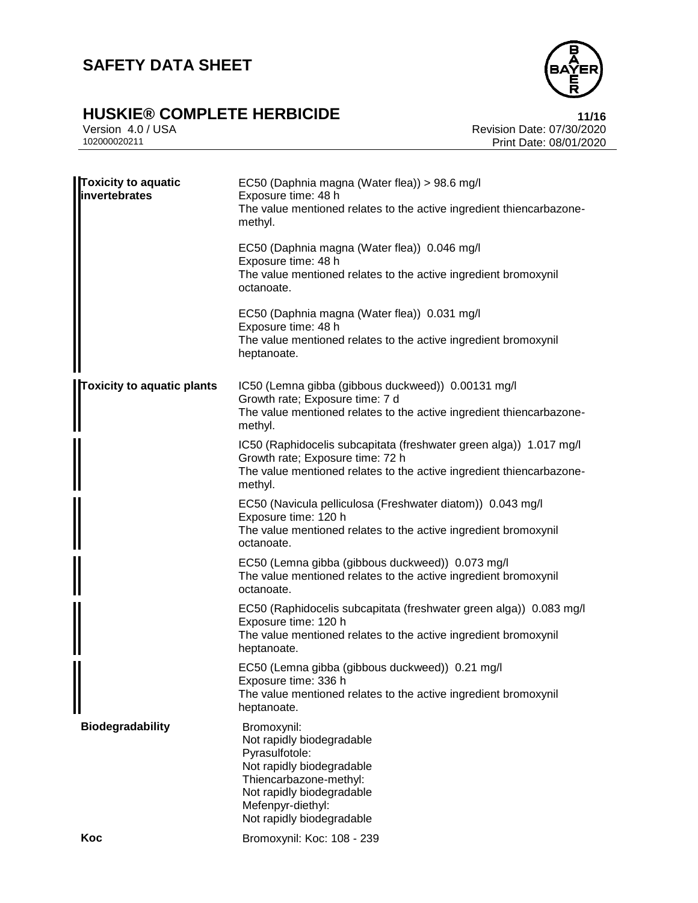# **HUSKIE® COMPLETE HERBICIDE**<br>Version 4.0 / USA **11/16**<br>Revision Date: 07/30/2020



Version 4.0 / USA Revision Date: 07/30/2020<br>102000020211 Print Date: 08/01/2020 Print Date: 08/01/2020

| <b>Toxicity to aquatic</b><br>invertebrates | EC50 (Daphnia magna (Water flea)) > 98.6 mg/l<br>Exposure time: 48 h<br>The value mentioned relates to the active ingredient thiencarbazone-<br>methyl.                                          |
|---------------------------------------------|--------------------------------------------------------------------------------------------------------------------------------------------------------------------------------------------------|
|                                             | EC50 (Daphnia magna (Water flea)) 0.046 mg/l<br>Exposure time: 48 h<br>The value mentioned relates to the active ingredient bromoxynil<br>octanoate.                                             |
|                                             | EC50 (Daphnia magna (Water flea)) 0.031 mg/l<br>Exposure time: 48 h<br>The value mentioned relates to the active ingredient bromoxynil<br>heptanoate.                                            |
| <b>Toxicity to aquatic plants</b>           | IC50 (Lemna gibba (gibbous duckweed)) 0.00131 mg/l<br>Growth rate; Exposure time: 7 d<br>The value mentioned relates to the active ingredient thiencarbazone-<br>methyl.                         |
|                                             | IC50 (Raphidocelis subcapitata (freshwater green alga)) 1.017 mg/l<br>Growth rate; Exposure time: 72 h<br>The value mentioned relates to the active ingredient thiencarbazone-<br>methyl.        |
|                                             | EC50 (Navicula pelliculosa (Freshwater diatom)) 0.043 mg/l<br>Exposure time: 120 h<br>The value mentioned relates to the active ingredient bromoxynil<br>octanoate.                              |
|                                             | EC50 (Lemna gibba (gibbous duckweed)) 0.073 mg/l<br>The value mentioned relates to the active ingredient bromoxynil<br>octanoate.                                                                |
|                                             | EC50 (Raphidocelis subcapitata (freshwater green alga)) 0.083 mg/l<br>Exposure time: 120 h<br>The value mentioned relates to the active ingredient bromoxynil<br>heptanoate.                     |
|                                             | EC50 (Lemna gibba (gibbous duckweed)) 0.21 mg/l<br>Exposure time: 336 h<br>The value mentioned relates to the active ingredient bromoxynil<br>heptanoate.                                        |
| <b>Biodegradability</b>                     | Bromoxynil:<br>Not rapidly biodegradable<br>Pyrasulfotole:<br>Not rapidly biodegradable<br>Thiencarbazone-methyl:<br>Not rapidly biodegradable<br>Mefenpyr-diethyl:<br>Not rapidly biodegradable |
| Koc                                         | Bromoxynil: Koc: 108 - 239                                                                                                                                                                       |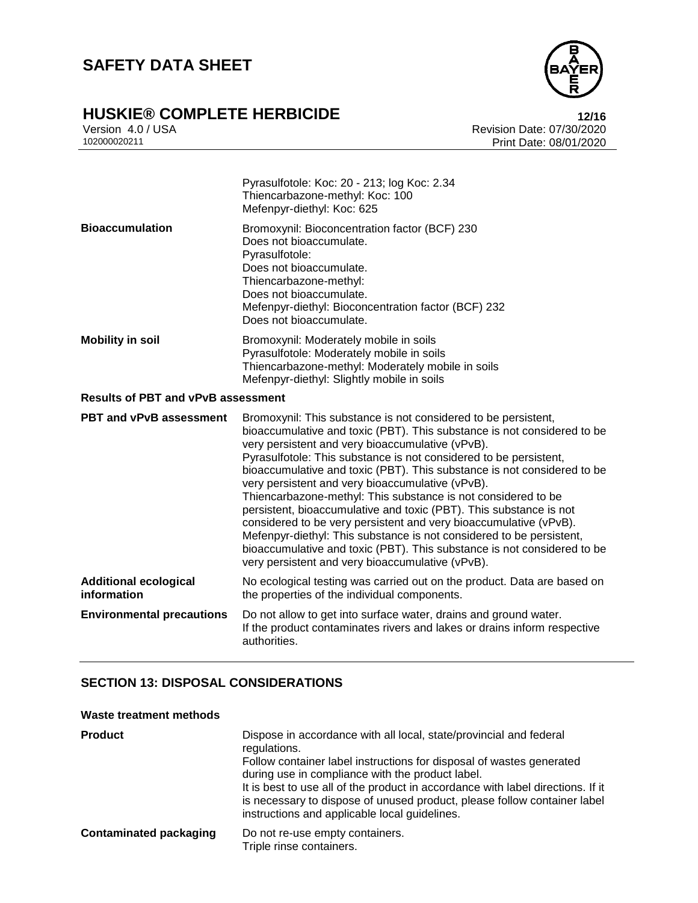

# **HUSKIE® COMPLETE HERBICIDE**<br>Version 4.0 / USA **12/16**<br>Revision Date: 07/30/2020

Version 4.0 / USA Revision Date: 07/30/2020<br>102000020211 Print Date: 08/01/2020 Print Date: 08/01/2020

|                                             | Pyrasulfotole: Koc: 20 - 213; log Koc: 2.34<br>Thiencarbazone-methyl: Koc: 100<br>Mefenpyr-diethyl: Koc: 625                                                                                                                                                                                                                                                                                                                                                                                                                                                                                                                                                                                                                                                                                                         |
|---------------------------------------------|----------------------------------------------------------------------------------------------------------------------------------------------------------------------------------------------------------------------------------------------------------------------------------------------------------------------------------------------------------------------------------------------------------------------------------------------------------------------------------------------------------------------------------------------------------------------------------------------------------------------------------------------------------------------------------------------------------------------------------------------------------------------------------------------------------------------|
| <b>Bioaccumulation</b>                      | Bromoxynil: Bioconcentration factor (BCF) 230<br>Does not bioaccumulate.<br>Pyrasulfotole:<br>Does not bioaccumulate.<br>Thiencarbazone-methyl:<br>Does not bioaccumulate.<br>Mefenpyr-diethyl: Bioconcentration factor (BCF) 232<br>Does not bioaccumulate.                                                                                                                                                                                                                                                                                                                                                                                                                                                                                                                                                         |
| <b>Mobility in soil</b>                     | Bromoxynil: Moderately mobile in soils<br>Pyrasulfotole: Moderately mobile in soils<br>Thiencarbazone-methyl: Moderately mobile in soils<br>Mefenpyr-diethyl: Slightly mobile in soils                                                                                                                                                                                                                                                                                                                                                                                                                                                                                                                                                                                                                               |
| <b>Results of PBT and vPvB assessment</b>   |                                                                                                                                                                                                                                                                                                                                                                                                                                                                                                                                                                                                                                                                                                                                                                                                                      |
| <b>PBT and vPvB assessment</b>              | Bromoxynil: This substance is not considered to be persistent,<br>bioaccumulative and toxic (PBT). This substance is not considered to be<br>very persistent and very bioaccumulative (vPvB).<br>Pyrasulfotole: This substance is not considered to be persistent,<br>bioaccumulative and toxic (PBT). This substance is not considered to be<br>very persistent and very bioaccumulative (vPvB).<br>Thiencarbazone-methyl: This substance is not considered to be<br>persistent, bioaccumulative and toxic (PBT). This substance is not<br>considered to be very persistent and very bioaccumulative (vPvB).<br>Mefenpyr-diethyl: This substance is not considered to be persistent,<br>bioaccumulative and toxic (PBT). This substance is not considered to be<br>very persistent and very bioaccumulative (vPvB). |
| <b>Additional ecological</b><br>information | No ecological testing was carried out on the product. Data are based on<br>the properties of the individual components.                                                                                                                                                                                                                                                                                                                                                                                                                                                                                                                                                                                                                                                                                              |
| <b>Environmental precautions</b>            | Do not allow to get into surface water, drains and ground water.<br>If the product contaminates rivers and lakes or drains inform respective<br>authorities.                                                                                                                                                                                                                                                                                                                                                                                                                                                                                                                                                                                                                                                         |

### **SECTION 13: DISPOSAL CONSIDERATIONS**

### **Waste treatment methods**

| <b>Product</b>                | Dispose in accordance with all local, state/provincial and federal<br>regulations.<br>Follow container label instructions for disposal of wastes generated<br>during use in compliance with the product label.<br>It is best to use all of the product in accordance with label directions. If it<br>is necessary to dispose of unused product, please follow container label<br>instructions and applicable local guidelines. |
|-------------------------------|--------------------------------------------------------------------------------------------------------------------------------------------------------------------------------------------------------------------------------------------------------------------------------------------------------------------------------------------------------------------------------------------------------------------------------|
| <b>Contaminated packaging</b> | Do not re-use empty containers.<br>Triple rinse containers.                                                                                                                                                                                                                                                                                                                                                                    |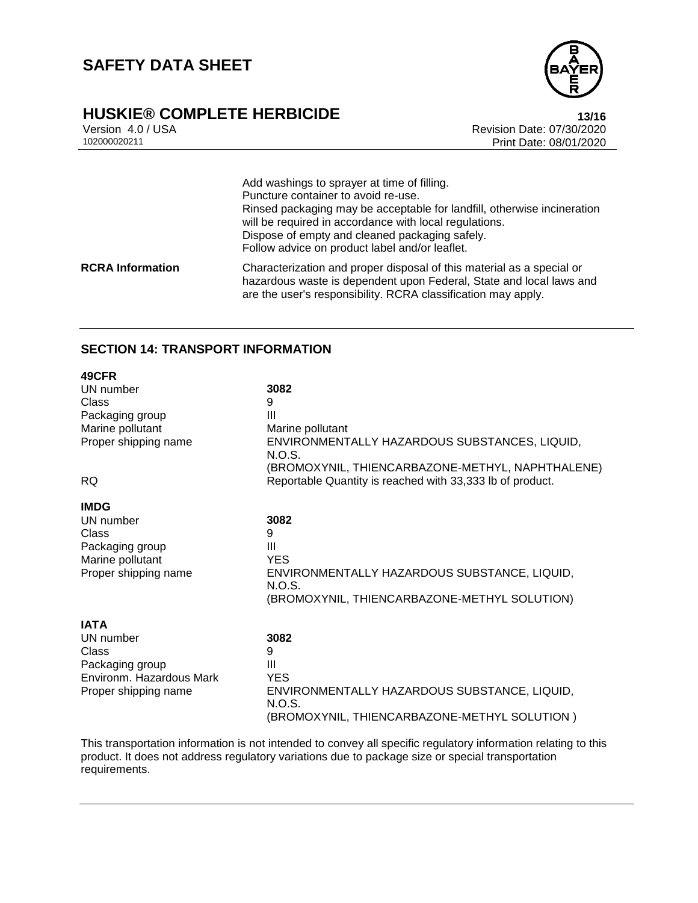# **HUSKIE® COMPLETE HERBICIDE**<br>Version 4.0 / USA **13/16**<br>Revision Date: 07/30/2020



Version 4.0 / USA Revision Date: 07/30/2020 Print Date: 08/01/2020

Add washings to sprayer at time of filling. Puncture container to avoid re-use. Rinsed packaging may be acceptable for landfill, otherwise incineration will be required in accordance with local regulations. Dispose of empty and cleaned packaging safely. Follow advice on product label and/or leaflet. **RCRA Information** Characterization and proper disposal of this material as a special or hazardous waste is dependent upon Federal, State and local laws and are the user's responsibility. RCRA classification may apply.

### **SECTION 14: TRANSPORT INFORMATION**

| 49CFR                    |                                                           |
|--------------------------|-----------------------------------------------------------|
| UN number                | 3082                                                      |
| Class                    | 9                                                         |
| Packaging group          | Ш                                                         |
| Marine pollutant         | Marine pollutant                                          |
| Proper shipping name     | ENVIRONMENTALLY HAZARDOUS SUBSTANCES, LIQUID,<br>N.O.S.   |
|                          | (BROMOXYNIL, THIENCARBAZONE-METHYL, NAPHTHALENE)          |
| <b>RQ</b>                | Reportable Quantity is reached with 33,333 lb of product. |
| <b>IMDG</b>              |                                                           |
| UN number                | 3082                                                      |
| Class                    | 9                                                         |
| Packaging group          | Ш                                                         |
| Marine pollutant         | <b>YES</b>                                                |
| Proper shipping name     | ENVIRONMENTALLY HAZARDOUS SUBSTANCE, LIQUID,<br>N.O.S.    |
|                          | (BROMOXYNIL, THIENCARBAZONE-METHYL SOLUTION)              |
| <b>IATA</b>              |                                                           |
| UN number                | 3082                                                      |
| Class                    | 9                                                         |
| Packaging group          | Ш                                                         |
| Environm. Hazardous Mark | <b>YES</b>                                                |
| Proper shipping name     | ENVIRONMENTALLY HAZARDOUS SUBSTANCE, LIQUID,              |
|                          | N.O.S.                                                    |
|                          | (BROMOXYNIL, THIENCARBAZONE-METHYL SOLUTION)              |
|                          |                                                           |

This transportation information is not intended to convey all specific regulatory information relating to this product. It does not address regulatory variations due to package size or special transportation requirements.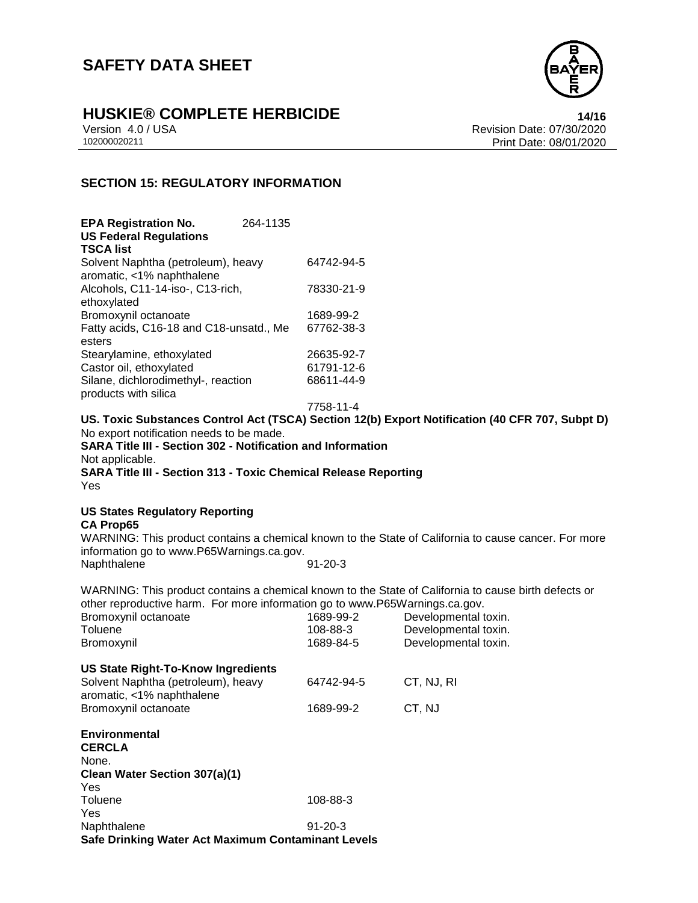

# **HUSKIE® COMPLETE HERBICIDE**<br>Version 4.0 / USA **14/16**<br>Revision Date: 07/30/2020

Version 4.0 / USA Revision Date: 07/30/2020 Print Date: 08/01/2020

## **SECTION 15: REGULATORY INFORMATION**

| <b>EPA Registration No.</b>             | 264-1135 |            |
|-----------------------------------------|----------|------------|
| <b>US Federal Regulations</b>           |          |            |
| <b>TSCA list</b>                        |          |            |
| Solvent Naphtha (petroleum), heavy      |          | 64742-94-5 |
| aromatic, <1% naphthalene               |          |            |
| Alcohols, C11-14-iso-, C13-rich,        |          | 78330-21-9 |
| ethoxylated                             |          |            |
| Bromoxynil octanoate                    |          | 1689-99-2  |
| Fatty acids, C16-18 and C18-unsatd., Me |          | 67762-38-3 |
| esters                                  |          |            |
| Stearylamine, ethoxylated               |          | 26635-92-7 |
| Castor oil, ethoxylated                 |          | 61791-12-6 |
| Silane, dichlorodimethyl-, reaction     |          | 68611-44-9 |
| products with silica                    |          |            |

7758-11-4

**US. Toxic Substances Control Act (TSCA) Section 12(b) Export Notification (40 CFR 707, Subpt D)** No export notification needs to be made. **SARA Title III - Section 302 - Notification and Information** Not applicable.

**SARA Title III - Section 313 - Toxic Chemical Release Reporting** Yes

#### **US States Regulatory Reporting CA Prop65**

WARNING: This product contains a chemical known to the State of California to cause cancer. For more information go to www.P65Warnings.ca.gov. Naphthalene 91-20-3

WARNING: This product contains a chemical known to the State of California to cause birth defects or other reproductive harm. For more information go to www.P65Warnings.ca.gov.

| Bromoxynil octanoate<br>Toluene<br>Bromoxynil                   | 1689-99-2<br>108-88-3<br>1689-84-5 | Developmental toxin.<br>Developmental toxin.<br>Developmental toxin. |
|-----------------------------------------------------------------|------------------------------------|----------------------------------------------------------------------|
| US State Right-To-Know Ingredients                              |                                    |                                                                      |
| Solvent Naphtha (petroleum), heavy<br>aromatic, <1% naphthalene | 64742-94-5                         | CT, NJ, RI                                                           |
| Bromoxynil octanoate                                            | 1689-99-2                          | CT, NJ                                                               |
| <b>Environmental</b><br><b>CERCLA</b><br>None.                  |                                    |                                                                      |
| Clean Water Section 307(a)(1)                                   |                                    |                                                                      |
| Yes                                                             |                                    |                                                                      |
| Toluene                                                         | 108-88-3                           |                                                                      |
| Yes                                                             |                                    |                                                                      |
| Naphthalene                                                     | $91 - 20 - 3$                      |                                                                      |
| Safe Drinking Water Act Maximum Contaminant Levels              |                                    |                                                                      |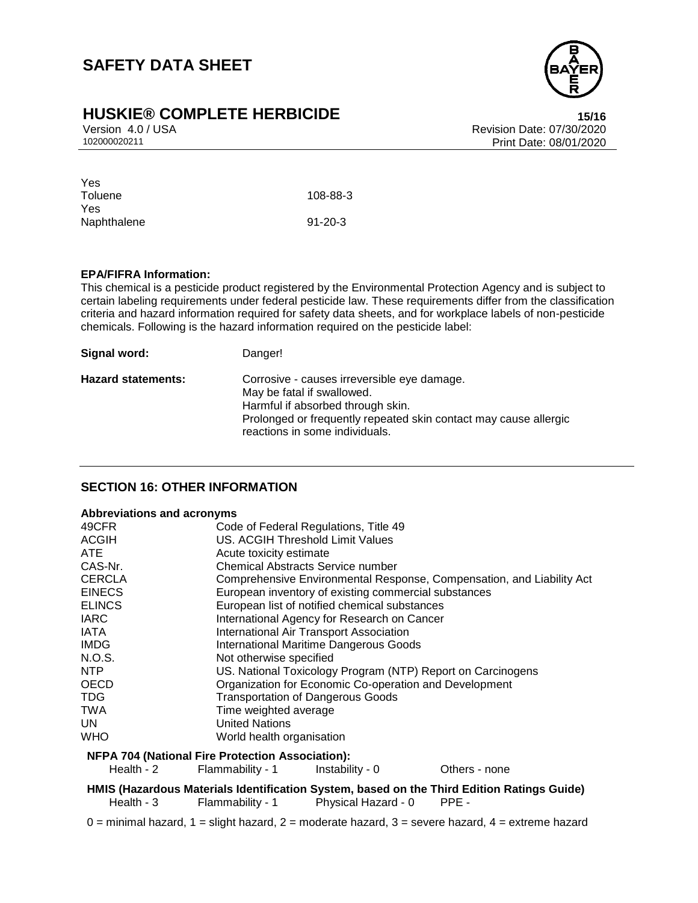# **HUSKIE® COMPLETE HERBICIDE**<br>Version 4.0 / USA **15/16**<br>Revision Date: 07/30/2020



Version 4.0 / USA Revision Date: 07/30/2020 Print Date: 08/01/2020

| Yes         |               |
|-------------|---------------|
| Toluene     | 108-88-3      |
| Yes         |               |
| Naphthalene | $91 - 20 - 3$ |

#### **EPA/FIFRA Information:**

This chemical is a pesticide product registered by the Environmental Protection Agency and is subject to certain labeling requirements under federal pesticide law. These requirements differ from the classification criteria and hazard information required for safety data sheets, and for workplace labels of non-pesticide chemicals. Following is the hazard information required on the pesticide label:

| Signal word:              | Danger!                                                                                               |
|---------------------------|-------------------------------------------------------------------------------------------------------|
| <b>Hazard statements:</b> | Corrosive - causes irreversible eye damage.<br>May be fatal if swallowed.                             |
|                           | Harmful if absorbed through skin.<br>Prolonged or frequently repeated skin contact may cause allergic |
|                           | reactions in some individuals.                                                                        |

### **SECTION 16: OTHER INFORMATION**

#### **Abbreviations and acronyms**

| 49CFR                                                                                      |                                                                           |                                                             |               |  |
|--------------------------------------------------------------------------------------------|---------------------------------------------------------------------------|-------------------------------------------------------------|---------------|--|
| <b>ACGIH</b>                                                                               | Code of Federal Regulations, Title 49<br>US. ACGIH Threshold Limit Values |                                                             |               |  |
| ATE.                                                                                       | Acute toxicity estimate                                                   |                                                             |               |  |
|                                                                                            | <b>Chemical Abstracts Service number</b>                                  |                                                             |               |  |
| CAS-Nr.                                                                                    |                                                                           |                                                             |               |  |
| <b>CERCLA</b>                                                                              | Comprehensive Environmental Response, Compensation, and Liability Act     |                                                             |               |  |
| <b>EINECS</b>                                                                              | European inventory of existing commercial substances                      |                                                             |               |  |
| <b>ELINCS</b>                                                                              |                                                                           | European list of notified chemical substances               |               |  |
| <b>IARC</b>                                                                                |                                                                           | International Agency for Research on Cancer                 |               |  |
| <b>IATA</b>                                                                                | <b>International Air Transport Association</b>                            |                                                             |               |  |
| <b>IMDG</b>                                                                                | <b>International Maritime Dangerous Goods</b>                             |                                                             |               |  |
| N.O.S.                                                                                     | Not otherwise specified                                                   |                                                             |               |  |
| NTP                                                                                        |                                                                           | US. National Toxicology Program (NTP) Report on Carcinogens |               |  |
| OECD                                                                                       |                                                                           | Organization for Economic Co-operation and Development      |               |  |
| <b>TDG</b>                                                                                 | <b>Transportation of Dangerous Goods</b>                                  |                                                             |               |  |
| <b>TWA</b>                                                                                 | Time weighted average                                                     |                                                             |               |  |
| UN                                                                                         | <b>United Nations</b>                                                     |                                                             |               |  |
| WHO                                                                                        | World health organisation                                                 |                                                             |               |  |
| <b>NFPA 704 (National Fire Protection Association):</b>                                    |                                                                           |                                                             |               |  |
| Health - 2                                                                                 | Flammability - 1                                                          | Instability - 0                                             | Others - none |  |
| HMIS (Hazardous Materials Identification System, based on the Third Edition Ratings Guide) |                                                                           |                                                             |               |  |

- Health 3 Flammability 1 Physical Hazard 0 PPE -
- $0 =$  minimal hazard,  $1 =$  slight hazard,  $2 =$  moderate hazard,  $3 =$  severe hazard,  $4 =$  extreme hazard